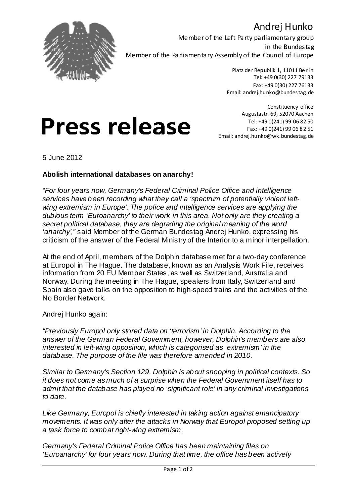### Andrej Hunko



Member of the Left Party parliamentary group in the Bundestag Member of the Parliamentary Assembly of the Council of Europe

> Platz der Republik 1, 11011 Berlin Tel: +49 0(30) 227 79133 Fax: +49 0(30) 227 76133 Email: andrej.hunko@bundestag.de

# **Press release**

Constituency office Augustastr. 69, 52070 Aachen Tel: +49 0(241) 99 06 82 50 Fax: +49 0(241) 99 06 82 51 Email: andrej.hunko@wk.bundestag.de

5 June 2012

#### **Abolish international databases on anarchy!**

*"For four years now, Germany's Federal Criminal Police Office and intelligence services have been recording what they call a 'spectrum of potentially violent leftwing extremism in Europe'. The police and intelligence services are applying the dubious term 'Euroanarchy' to their work in this area. Not only are they creating a secret political database, they are degrading the original meaning of the word 'anarchy',"* said Member of the German Bundestag Andrej Hunko, expressing his criticism of the answer of the Federal Ministry of the Interior to a minor interpellation.

At the end of April, members of the Dolphin database met for a two-day conference at Europol in The Hague. The database, known as an Analysis Work File, receives information from 20 EU Member States, as well as Switzerland, Australia and Norway. During the meeting in The Hague, speakers from Italy, Switzerland and Spain also gave talks on the opposition to high-speed trains and the activities of the No Border Network.

Andrej Hunko again:

*"Previously Europol only stored data on 'terrorism' in Dolphin. According to the answer of the German Federal Government, however, Dolphin's members are also interested in left-wing opposition, which is categorised as 'extremism' in the database. The purpose of the file was therefore amended in 2010.*

*Similar to Germany's Section 129, Dolphin is about snooping in political contexts. So it does not come as much of a surprise when the Federal Government itself has to admit that the database has played no 'significant role' in any criminal investigations to date.*

*Like Germany, Europol is chiefly interested in taking action against emancipatory movements. It was only after the attacks in Norway that Europol proposed setting up a task force to combat right-wing extremism.*

*Germany's Federal Criminal Police Office has been maintaining files on 'Euroanarchy' for four years now. During that time, the office has been actively*